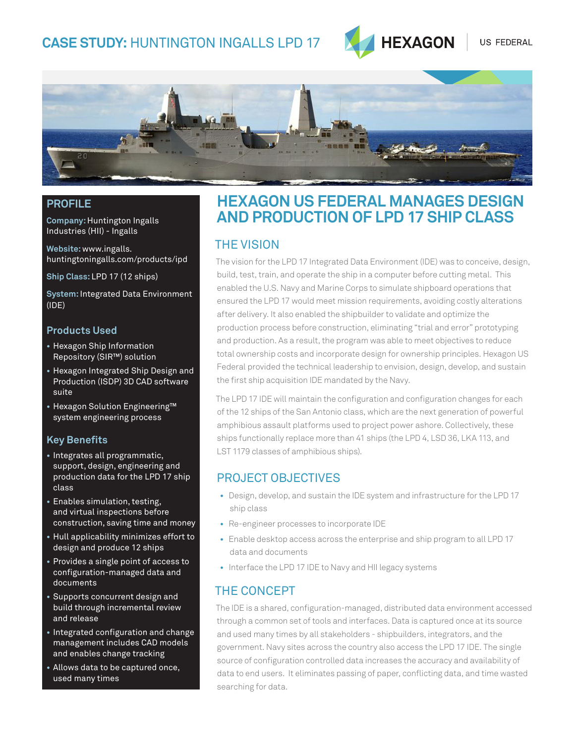

US FEDERAL



#### **PROFILE**

**Company:** Huntington Ingalls Industries (HII) - Ingalls

**Website:** www.ingalls. huntingtoningalls.com/products/ipd

**Ship Class:** LPD 17 (12 ships)

**System:** Integrated Data Environment (IDE)

#### **Products Used**

- **•** Hexagon Ship Information Repository (SIR™) solution
- **•** Hexagon Integrated Ship Design and Production (ISDP) 3D CAD software suite
- **•** Hexagon Solution Engineering™ system engineering process

#### **Key Benefits**

- **•** Integrates all programmatic, support, design, engineering and production data for the LPD 17 ship class
- **•** Enables simulation, testing, and virtual inspections before construction, saving time and money
- **•** Hull applicability minimizes effort to design and produce 12 ships
- **•** Provides a single point of access to configuration-managed data and documents
- **•** Supports concurrent design and build through incremental review and release
- **•** Integrated configuration and change management includes CAD models and enables change tracking
- **•** Allows data to be captured once, used many times

# **HEXAGON US FEDERAL MANAGES DESIGN AND PRODUCTION OF LPD 17 SHIP CLASS**

# THE vision

The vision for the LPD 17 Integrated Data Environment (IDE) was to conceive, design, build, test, train, and operate the ship in a computer before cutting metal. This enabled the U.S. Navy and Marine Corps to simulate shipboard operations that ensured the LPD 17 would meet mission requirements, avoiding costly alterations after delivery. It also enabled the shipbuilder to validate and optimize the production process before construction, eliminating "trial and error" prototyping and production. As a result, the program was able to meet objectives to reduce total ownership costs and incorporate design for ownership principles. Hexagon US Federal provided the technical leadership to envision, design, develop, and sustain the first ship acquisition IDE mandated by the Navy.

The LPD 17 IDE will maintain the configuration and configuration changes for each of the 12 ships of the San Antonio class, which are the next generation of powerful amphibious assault platforms used to project power ashore. Collectively, these ships functionally replace more than 41 ships (the LPD 4, LSD 36, LKA 113, and LST 1179 classes of amphibious ships).

## Project Objectives

- Design, develop, and sustain the IDE system and infrastructure for the LPD 17 ship class
- Re-engineer processes to incorporate IDE
- Enable desktop access across the enterprise and ship program to all LPD 17 data and documents
- Interface the LPD 17 IDE to Navy and HII legacy systems

## the concept

The IDE is a shared, configuration-managed, distributed data environment accessed through a common set of tools and interfaces. Data is captured once at its source and used many times by all stakeholders - shipbuilders, integrators, and the government. Navy sites across the country also access the LPD 17 IDE. The single source of configuration controlled data increases the accuracy and availability of data to end users. It eliminates passing of paper, conflicting data, and time wasted searching for data.